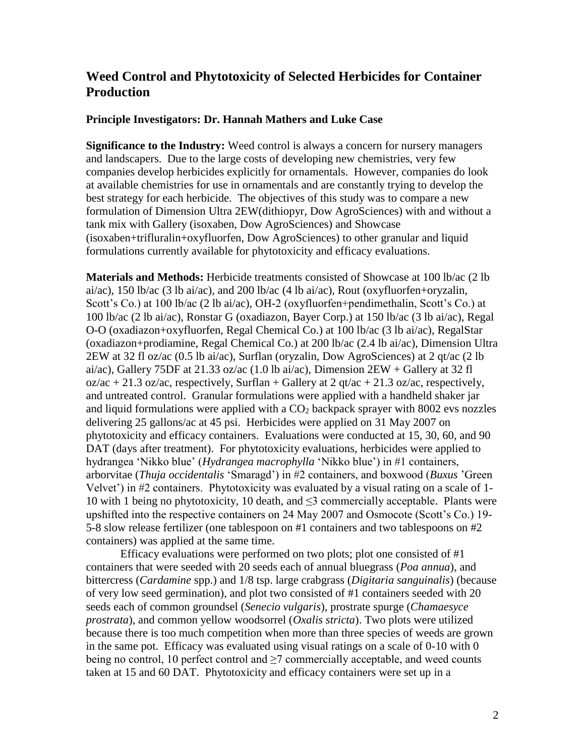## **Weed Control and Phytotoxicity of Selected Herbicides for Container Production**

## **Principle Investigators: Dr. Hannah Mathers and Luke Case**

**Significance to the Industry:** Weed control is always a concern for nursery managers and landscapers. Due to the large costs of developing new chemistries, very few companies develop herbicides explicitly for ornamentals. However, companies do look at available chemistries for use in ornamentals and are constantly trying to develop the best strategy for each herbicide. The objectives of this study was to compare a new formulation of Dimension Ultra 2EW(dithiopyr, Dow AgroSciences) with and without a tank mix with Gallery (isoxaben, Dow AgroSciences) and Showcase (isoxaben+trifluralin+oxyfluorfen, Dow AgroSciences) to other granular and liquid formulations currently available for phytotoxicity and efficacy evaluations.

**Materials and Methods:** Herbicide treatments consisted of Showcase at 100 lb/ac (2 lb ai/ac), 150 lb/ac (3 lb ai/ac), and 200 lb/ac (4 lb ai/ac), Rout (oxyfluorfen+oryzalin, Scott's Co.) at 100 lb/ac (2 lb ai/ac), OH-2 (oxyfluorfen+pendimethalin, Scott's Co.) at 100 lb/ac (2 lb ai/ac), Ronstar G (oxadiazon, Bayer Corp.) at 150 lb/ac (3 lb ai/ac), Regal O-O (oxadiazon+oxyfluorfen, Regal Chemical Co.) at 100 lb/ac (3 lb ai/ac), RegalStar (oxadiazon+prodiamine, Regal Chemical Co.) at 200 lb/ac (2.4 lb ai/ac), Dimension Ultra 2EW at 32 fl oz/ac (0.5 lb ai/ac), Surflan (oryzalin, Dow AgroSciences) at 2 qt/ac (2 lb ai/ac), Gallery 75DF at 21.33 oz/ac (1.0 lb ai/ac), Dimension  $2EW +$  Gallery at 32 fl  $oz/ac + 21.3$  oz/ac, respectively, Surflan + Gallery at 2 qt/ac + 21.3 oz/ac, respectively, and untreated control. Granular formulations were applied with a handheld shaker jar and liquid formulations were applied with a  $CO<sub>2</sub>$  backpack sprayer with 8002 evs nozzles delivering 25 gallons/ac at 45 psi. Herbicides were applied on 31 May 2007 on phytotoxicity and efficacy containers. Evaluations were conducted at 15, 30, 60, and 90 DAT (days after treatment). For phytotoxicity evaluations, herbicides were applied to hydrangea 'Nikko blue' (*Hydrangea macrophylla* 'Nikko blue') in #1 containers, arborvitae (*Thuja occidentalis* 'Smaragd') in #2 containers, and boxwood (*Buxus* 'Green Velvet') in #2 containers. Phytotoxicity was evaluated by a visual rating on a scale of 1- 10 with 1 being no phytotoxicity, 10 death, and ≤3 commercially acceptable. Plants were upshifted into the respective containers on 24 May 2007 and Osmocote (Scott's Co.) 19- 5-8 slow release fertilizer (one tablespoon on #1 containers and two tablespoons on #2 containers) was applied at the same time.

Efficacy evaluations were performed on two plots; plot one consisted of #1 containers that were seeded with 20 seeds each of annual bluegrass (*Poa annua*), and bittercress (*Cardamine* spp.) and 1/8 tsp. large crabgrass (*Digitaria sanguinalis*) (because of very low seed germination), and plot two consisted of #1 containers seeded with 20 seeds each of common groundsel (*Senecio vulgaris*), prostrate spurge (*Chamaesyce prostrata*), and common yellow woodsorrel (*Oxalis stricta*). Two plots were utilized because there is too much competition when more than three species of weeds are grown in the same pot. Efficacy was evaluated using visual ratings on a scale of 0-10 with 0 being no control, 10 perfect control and  $\geq$ 7 commercially acceptable, and weed counts taken at 15 and 60 DAT. Phytotoxicity and efficacy containers were set up in a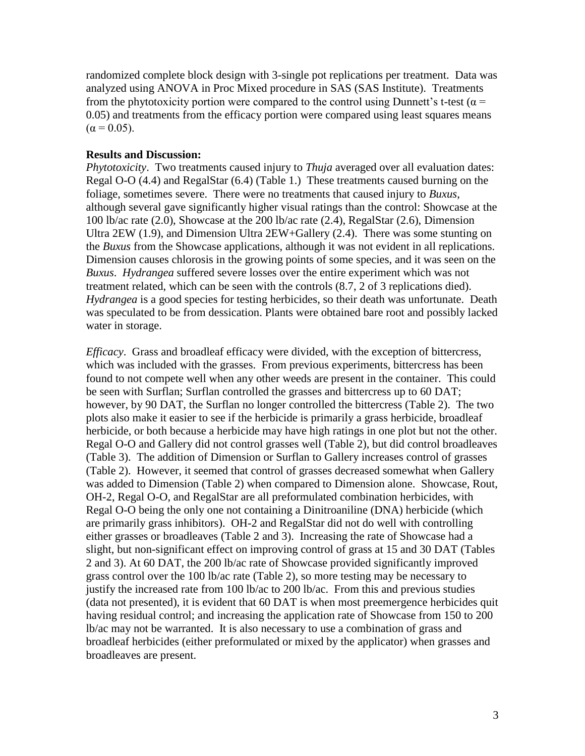randomized complete block design with 3-single pot replications per treatment. Data was analyzed using ANOVA in Proc Mixed procedure in SAS (SAS Institute). Treatments from the phytotoxicity portion were compared to the control using Dunnett's t-test ( $\alpha$  = 0.05) and treatments from the efficacy portion were compared using least squares means  $(\alpha = 0.05)$ .

## **Results and Discussion:**

*Phytotoxicity*. Two treatments caused injury to *Thuja* averaged over all evaluation dates: Regal O-O (4.4) and RegalStar (6.4) (Table 1.) These treatments caused burning on the foliage, sometimes severe. There were no treatments that caused injury to *Buxus*, although several gave significantly higher visual ratings than the control: Showcase at the 100 lb/ac rate (2.0), Showcase at the 200 lb/ac rate (2.4), RegalStar (2.6), Dimension Ultra 2EW (1.9), and Dimension Ultra 2EW+Gallery (2.4). There was some stunting on the *Buxus* from the Showcase applications, although it was not evident in all replications. Dimension causes chlorosis in the growing points of some species, and it was seen on the *Buxus*. *Hydrangea* suffered severe losses over the entire experiment which was not treatment related, which can be seen with the controls (8.7, 2 of 3 replications died). *Hydrangea* is a good species for testing herbicides, so their death was unfortunate. Death was speculated to be from dessication. Plants were obtained bare root and possibly lacked water in storage.

*Efficacy*. Grass and broadleaf efficacy were divided, with the exception of bittercress, which was included with the grasses. From previous experiments, bittercress has been found to not compete well when any other weeds are present in the container. This could be seen with Surflan; Surflan controlled the grasses and bittercress up to 60 DAT; however, by 90 DAT, the Surflan no longer controlled the bittercress (Table 2). The two plots also make it easier to see if the herbicide is primarily a grass herbicide, broadleaf herbicide, or both because a herbicide may have high ratings in one plot but not the other. Regal O-O and Gallery did not control grasses well (Table 2), but did control broadleaves (Table 3). The addition of Dimension or Surflan to Gallery increases control of grasses (Table 2). However, it seemed that control of grasses decreased somewhat when Gallery was added to Dimension (Table 2) when compared to Dimension alone. Showcase, Rout, OH-2, Regal O-O, and RegalStar are all preformulated combination herbicides, with Regal O-O being the only one not containing a Dinitroaniline (DNA) herbicide (which are primarily grass inhibitors). OH-2 and RegalStar did not do well with controlling either grasses or broadleaves (Table 2 and 3). Increasing the rate of Showcase had a slight, but non-significant effect on improving control of grass at 15 and 30 DAT (Tables 2 and 3). At 60 DAT, the 200 lb/ac rate of Showcase provided significantly improved grass control over the 100 lb/ac rate (Table 2), so more testing may be necessary to justify the increased rate from 100 lb/ac to 200 lb/ac. From this and previous studies (data not presented), it is evident that 60 DAT is when most preemergence herbicides quit having residual control; and increasing the application rate of Showcase from 150 to 200 lb/ac may not be warranted. It is also necessary to use a combination of grass and broadleaf herbicides (either preformulated or mixed by the applicator) when grasses and broadleaves are present.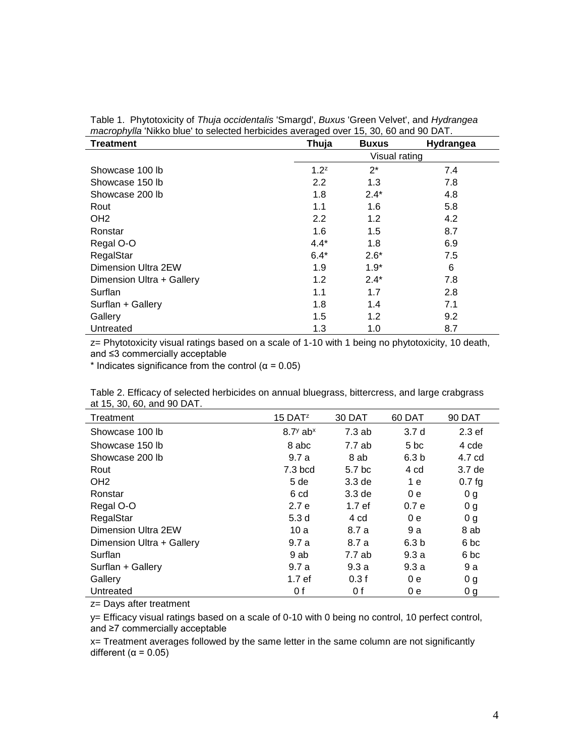| $111$ and $1$ and $1$ and $1$ and $1$ and $1$ and $1$ and $1$ and $1$ and $1$ and $1$ and $1$ and $1$ and $1$ and $1$ and $1$ and $1$ and $1$ and $1$ and $1$ and $1$ and $1$ and $1$ and $1$ and $1$ and $1$ and $1$ and $1$<br><b>Treatment</b> | Thuja   | <b>Buxus</b>  | Hydrangea |  |  |  |
|---------------------------------------------------------------------------------------------------------------------------------------------------------------------------------------------------------------------------------------------------|---------|---------------|-----------|--|--|--|
|                                                                                                                                                                                                                                                   |         | Visual rating |           |  |  |  |
| Showcase 100 lb                                                                                                                                                                                                                                   | $1.2^z$ | $2^*$         | 7.4       |  |  |  |
| Showcase 150 lb                                                                                                                                                                                                                                   | 2.2     | 1.3           | 7.8       |  |  |  |
| Showcase 200 lb                                                                                                                                                                                                                                   | 1.8     | $2.4*$        | 4.8       |  |  |  |
| Rout                                                                                                                                                                                                                                              | 1.1     | 1.6           | 5.8       |  |  |  |
| OH <sub>2</sub>                                                                                                                                                                                                                                   | 2.2     | 1.2           | 4.2       |  |  |  |
| Ronstar                                                                                                                                                                                                                                           | 1.6     | 1.5           | 8.7       |  |  |  |
| Regal O-O                                                                                                                                                                                                                                         | $4.4*$  | 1.8           | 6.9       |  |  |  |
| RegalStar                                                                                                                                                                                                                                         | $6.4*$  | $2.6*$        | 7.5       |  |  |  |
| Dimension Ultra 2EW                                                                                                                                                                                                                               | 1.9     | $1.9*$        | 6         |  |  |  |
| Dimension Ultra + Gallery                                                                                                                                                                                                                         | 1.2     | $2.4*$        | 7.8       |  |  |  |
| Surflan                                                                                                                                                                                                                                           | 1.1     | 1.7           | 2.8       |  |  |  |
| Surflan + Gallery                                                                                                                                                                                                                                 | 1.8     | 1.4           | 7.1       |  |  |  |
| Gallery                                                                                                                                                                                                                                           | 1.5     | 1.2           | 9.2       |  |  |  |
| Untreated                                                                                                                                                                                                                                         | 1.3     | 1.0           | 8.7       |  |  |  |

Table 1. Phytotoxicity of *Thuja occidentalis* 'Smargd', *Buxus* 'Green Velvet', and *Hydrangea macrophylla* 'Nikko blue' to selected herbicides averaged over 15, 30, 60 and 90 DAT.

z= Phytotoxicity visual ratings based on a scale of 1-10 with 1 being no phytotoxicity, 10 death, and ≤3 commercially acceptable

\* Indicates significance from the control ( $\alpha$  = 0.05)

| $\alpha$ , $\alpha$ , $\beta$ , $\alpha$ , $\alpha$ , $\alpha$ , $\beta$ , $\beta$ , $\beta$ , $\beta$ , $\beta$ , $\beta$ , $\beta$ , $\beta$ , $\beta$ , $\beta$ , $\beta$ , $\beta$ , $\beta$ , $\beta$ , $\beta$ , $\beta$ , $\beta$ , $\beta$ , $\beta$ , $\beta$ , $\beta$ , $\beta$ , $\beta$ , $\beta$ , $\beta$ , $\alpha$ , $\beta$ , $\beta$ , $\alpha$ , $\beta$ , $\alpha$ , |                        |                   |                  |                   |
|-------------------------------------------------------------------------------------------------------------------------------------------------------------------------------------------------------------------------------------------------------------------------------------------------------------------------------------------------------------------------------------------|------------------------|-------------------|------------------|-------------------|
| Treatment                                                                                                                                                                                                                                                                                                                                                                                 | $15$ DAT <sup>z</sup>  | 30 DAT            | 60 DAT           | <b>90 DAT</b>     |
| Showcase 100 lb                                                                                                                                                                                                                                                                                                                                                                           | $8.7y$ ab <sup>x</sup> | 7.3ab             | 3.7d             | 2.3 <sub>ef</sub> |
| Showcase 150 lb                                                                                                                                                                                                                                                                                                                                                                           | 8 abc                  | 7.7 ab            | 5 bc             | 4 cde             |
| Showcase 200 lb                                                                                                                                                                                                                                                                                                                                                                           | 9.7a                   | 8 ab              | 6.3 <sub>b</sub> | 4.7 cd            |
| Rout                                                                                                                                                                                                                                                                                                                                                                                      | 7.3 bcd                | 5.7 bc            | 4 cd             | 3.7 <sub>de</sub> |
| OH <sub>2</sub>                                                                                                                                                                                                                                                                                                                                                                           | 5 de                   | 3.3 <sub>de</sub> | 1 e              | 0.7 <sub>fg</sub> |
| Ronstar                                                                                                                                                                                                                                                                                                                                                                                   | 6 cd                   | 3.3 <sub>de</sub> | 0e               | 0 <sub>g</sub>    |
| Regal O-O                                                                                                                                                                                                                                                                                                                                                                                 | 2.7e                   | 1.7 ef            | 0.7 <sub>e</sub> | 0 g               |
| RegalStar                                                                                                                                                                                                                                                                                                                                                                                 | 5.3d                   | 4 cd              | 0e               | 0 <sub>g</sub>    |
| Dimension Ultra 2EW                                                                                                                                                                                                                                                                                                                                                                       | 10a                    | 8.7 a             | 9 a              | 8 ab              |
| Dimension Ultra + Gallery                                                                                                                                                                                                                                                                                                                                                                 | 9.7a                   | 8.7 a             | 6.3 <sub>b</sub> | 6 bc              |
| Surflan                                                                                                                                                                                                                                                                                                                                                                                   | 9 ab                   | 7.7 ab            | 9.3a             | 6 <sub>bc</sub>   |
| Surflan + Gallery                                                                                                                                                                                                                                                                                                                                                                         | 9.7a                   | 9.3a              | 9.3a             | 9 a               |
| Gallery                                                                                                                                                                                                                                                                                                                                                                                   | 1.7 <sub>ef</sub>      | 0.3f              | 0e               | 0 <sub>g</sub>    |
| Untreated                                                                                                                                                                                                                                                                                                                                                                                 | 0 f                    | 0 f               | 0 e              | 0 <sub>g</sub>    |

Table 2. Efficacy of selected herbicides on annual bluegrass, bittercress, and large crabgrass at 15, 30, 60, and 90 DAT.

z= Days after treatment

 $\overline{a}$ 

y= Efficacy visual ratings based on a scale of 0-10 with 0 being no control, 10 perfect control, and ≥7 commercially acceptable

x= Treatment averages followed by the same letter in the same column are not significantly different ( $\alpha$  = 0.05)